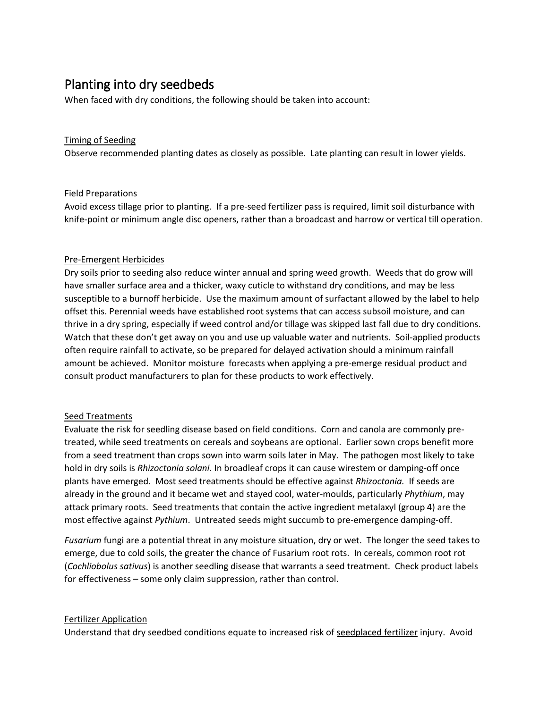# Planting into dry seedbeds

When faced with dry conditions, the following should be taken into account:

### Timing of Seeding

Observe recommended planting dates as closely as possible. Late planting can result in lower yields.

#### Field Preparations

Avoid excess tillage prior to planting. If a pre-seed fertilizer pass is required, limit soil disturbance with knife-point or minimum angle disc openers, rather than a broadcast and harrow or vertical till operation.

## Pre-Emergent Herbicides

Dry soils prior to seeding also reduce winter annual and spring weed growth. Weeds that do grow will have smaller surface area and a thicker, waxy cuticle to withstand dry conditions, and may be less susceptible to a burnoff herbicide. Use the maximum amount of surfactant allowed by the label to help offset this. Perennial weeds have established root systems that can access subsoil moisture, and can thrive in a dry spring, especially if weed control and/or tillage was skipped last fall due to dry conditions. Watch that these don't get away on you and use up valuable water and nutrients. Soil-applied products often require rainfall to activate, so be prepared for delayed activation should a minimum rainfall amount be achieved. Monitor moisture forecasts when applying a pre-emerge residual product and consult product manufacturers to plan for these products to work effectively.

#### Seed Treatments

Evaluate the risk for seedling disease based on field conditions. Corn and canola are commonly pretreated, while seed treatments on cereals and soybeans are optional. Earlier sown crops benefit more from a seed treatment than crops sown into warm soils later in May. The pathogen most likely to take hold in dry soils is *Rhizoctonia solani.* In broadleaf crops it can cause wirestem or damping-off once plants have emerged. Most seed treatments should be effective against *Rhizoctonia.* If seeds are already in the ground and it became wet and stayed cool, water-moulds, particularly *Phythium*, may attack primary roots. Seed treatments that contain the active ingredient metalaxyl (group 4) are the most effective against *Pythium*. Untreated seeds might succumb to pre-emergence damping-off.

*Fusarium* fungi are a potential threat in any moisture situation, dry or wet. The longer the seed takes to emerge, due to cold soils, the greater the chance of Fusarium root rots. In cereals, common root rot (*Cochliobolus sativus*) is another seedling disease that warrants a seed treatment. Check product labels for effectiveness – some only claim suppression, rather than control.

#### Fertilizer Application

Understand that dry seedbed conditions equate to increased risk of [seedplaced fertilizer](https://www.gov.mb.ca/agriculture/crops/soil-fertility/guidelines-for-safely-applying-fertilizer-with-seed.html#:~:text=SBU%20(Seedbed%20Utilization)%20is%20the,implement%20has%20a%206%20in.) injury. Avoid